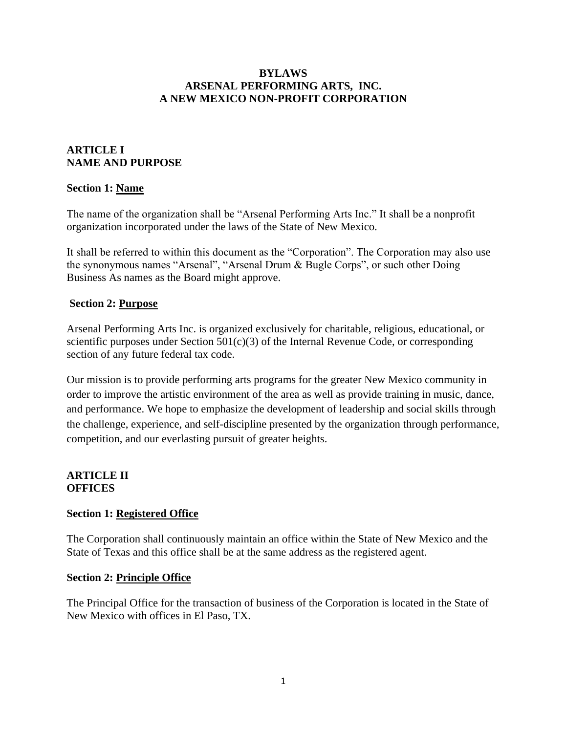### **BYLAWS ARSENAL PERFORMING ARTS, INC. A NEW MEXICO NON-PROFIT CORPORATION**

# **ARTICLE I NAME AND PURPOSE**

### **Section 1: Name**

The name of the organization shall be "Arsenal Performing Arts Inc." It shall be a nonprofit organization incorporated under the laws of the State of New Mexico.

It shall be referred to within this document as the "Corporation". The Corporation may also use the synonymous names "Arsenal", "Arsenal Drum & Bugle Corps", or such other Doing Business As names as the Board might approve.

### **Section 2: Purpose**

Arsenal Performing Arts Inc. is organized exclusively for charitable, religious, educational, or scientific purposes under Section  $501(c)(3)$  of the Internal Revenue Code, or corresponding section of any future federal tax code.

Our mission is to provide performing arts programs for the greater New Mexico community in order to improve the artistic environment of the area as well as provide training in music, dance, and performance. We hope to emphasize the development of leadership and social skills through the challenge, experience, and self-discipline presented by the organization through performance, competition, and our everlasting pursuit of greater heights.

## **ARTICLE II OFFICES**

## **Section 1: Registered Office**

The Corporation shall continuously maintain an office within the State of New Mexico and the State of Texas and this office shall be at the same address as the registered agent.

#### **Section 2: Principle Office**

The Principal Office for the transaction of business of the Corporation is located in the State of New Mexico with offices in El Paso, TX.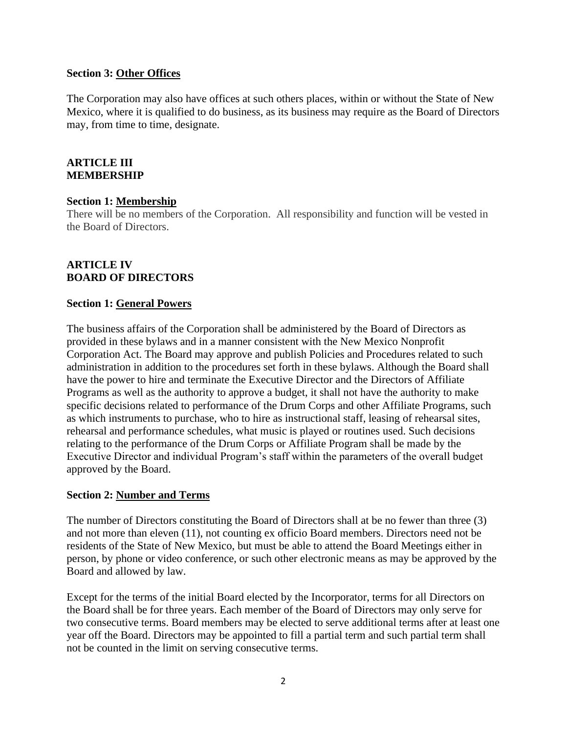#### **Section 3: Other Offices**

The Corporation may also have offices at such others places, within or without the State of New Mexico, where it is qualified to do business, as its business may require as the Board of Directors may, from time to time, designate.

### **ARTICLE III MEMBERSHIP**

#### **Section 1: Membership**

There will be no members of the Corporation. All responsibility and function will be vested in the Board of Directors.

## **ARTICLE IV BOARD OF DIRECTORS**

#### **Section 1: General Powers**

The business affairs of the Corporation shall be administered by the Board of Directors as provided in these bylaws and in a manner consistent with the New Mexico Nonprofit Corporation Act. The Board may approve and publish Policies and Procedures related to such administration in addition to the procedures set forth in these bylaws. Although the Board shall have the power to hire and terminate the Executive Director and the Directors of Affiliate Programs as well as the authority to approve a budget, it shall not have the authority to make specific decisions related to performance of the Drum Corps and other Affiliate Programs, such as which instruments to purchase, who to hire as instructional staff, leasing of rehearsal sites, rehearsal and performance schedules, what music is played or routines used. Such decisions relating to the performance of the Drum Corps or Affiliate Program shall be made by the Executive Director and individual Program's staff within the parameters of the overall budget approved by the Board.

#### **Section 2: Number and Terms**

The number of Directors constituting the Board of Directors shall at be no fewer than three (3) and not more than eleven (11), not counting ex officio Board members. Directors need not be residents of the State of New Mexico, but must be able to attend the Board Meetings either in person, by phone or video conference, or such other electronic means as may be approved by the Board and allowed by law.

Except for the terms of the initial Board elected by the Incorporator, terms for all Directors on the Board shall be for three years. Each member of the Board of Directors may only serve for two consecutive terms. Board members may be elected to serve additional terms after at least one year off the Board. Directors may be appointed to fill a partial term and such partial term shall not be counted in the limit on serving consecutive terms.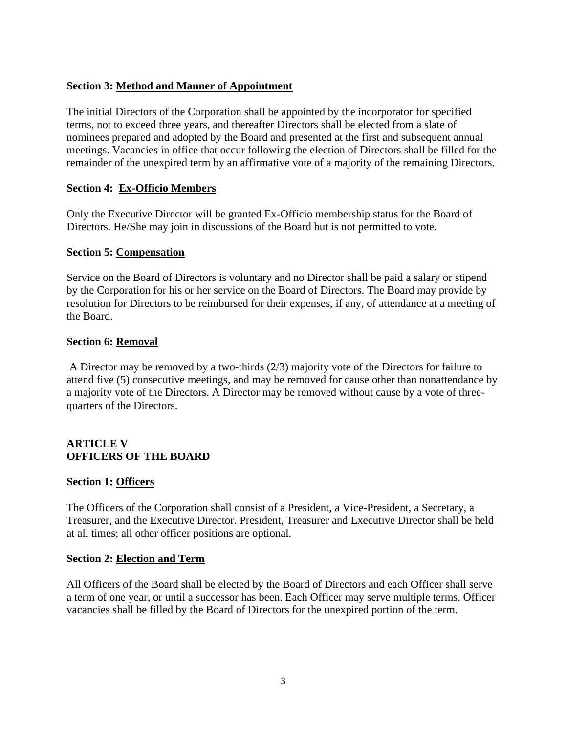### **Section 3: Method and Manner of Appointment**

The initial Directors of the Corporation shall be appointed by the incorporator for specified terms, not to exceed three years, and thereafter Directors shall be elected from a slate of nominees prepared and adopted by the Board and presented at the first and subsequent annual meetings. Vacancies in office that occur following the election of Directors shall be filled for the remainder of the unexpired term by an affirmative vote of a majority of the remaining Directors.

### **Section 4: Ex-Officio Members**

Only the Executive Director will be granted Ex-Officio membership status for the Board of Directors. He/She may join in discussions of the Board but is not permitted to vote.

### **Section 5: Compensation**

Service on the Board of Directors is voluntary and no Director shall be paid a salary or stipend by the Corporation for his or her service on the Board of Directors. The Board may provide by resolution for Directors to be reimbursed for their expenses, if any, of attendance at a meeting of the Board.

### **Section 6: Removal**

A Director may be removed by a two-thirds (2/3) majority vote of the Directors for failure to attend five (5) consecutive meetings, and may be removed for cause other than nonattendance by a majority vote of the Directors. A Director may be removed without cause by a vote of threequarters of the Directors.

## **ARTICLE V OFFICERS OF THE BOARD**

#### **Section 1: Officers**

The Officers of the Corporation shall consist of a President, a Vice-President, a Secretary, a Treasurer, and the Executive Director. President, Treasurer and Executive Director shall be held at all times; all other officer positions are optional.

#### **Section 2: Election and Term**

All Officers of the Board shall be elected by the Board of Directors and each Officer shall serve a term of one year, or until a successor has been. Each Officer may serve multiple terms. Officer vacancies shall be filled by the Board of Directors for the unexpired portion of the term.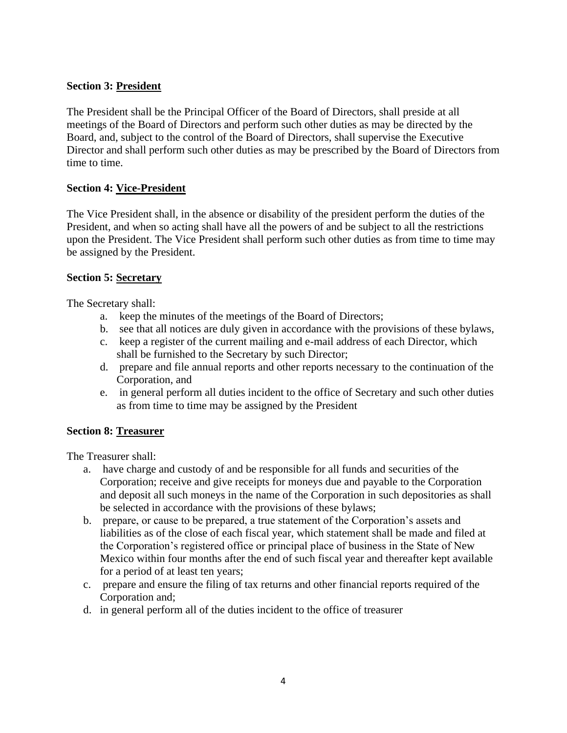## **Section 3: President**

The President shall be the Principal Officer of the Board of Directors, shall preside at all meetings of the Board of Directors and perform such other duties as may be directed by the Board, and, subject to the control of the Board of Directors, shall supervise the Executive Director and shall perform such other duties as may be prescribed by the Board of Directors from time to time.

# **Section 4: Vice-President**

The Vice President shall, in the absence or disability of the president perform the duties of the President, and when so acting shall have all the powers of and be subject to all the restrictions upon the President. The Vice President shall perform such other duties as from time to time may be assigned by the President.

## **Section 5: Secretary**

The Secretary shall:

- a. keep the minutes of the meetings of the Board of Directors;
- b. see that all notices are duly given in accordance with the provisions of these bylaws,
- c. keep a register of the current mailing and e-mail address of each Director, which shall be furnished to the Secretary by such Director;
- d. prepare and file annual reports and other reports necessary to the continuation of the Corporation, and
- e. in general perform all duties incident to the office of Secretary and such other duties as from time to time may be assigned by the President

# **Section 8: Treasurer**

The Treasurer shall:

- a. have charge and custody of and be responsible for all funds and securities of the Corporation; receive and give receipts for moneys due and payable to the Corporation and deposit all such moneys in the name of the Corporation in such depositories as shall be selected in accordance with the provisions of these bylaws;
- b. prepare, or cause to be prepared, a true statement of the Corporation's assets and liabilities as of the close of each fiscal year, which statement shall be made and filed at the Corporation's registered office or principal place of business in the State of New Mexico within four months after the end of such fiscal year and thereafter kept available for a period of at least ten years;
- c. prepare and ensure the filing of tax returns and other financial reports required of the Corporation and;
- d. in general perform all of the duties incident to the office of treasurer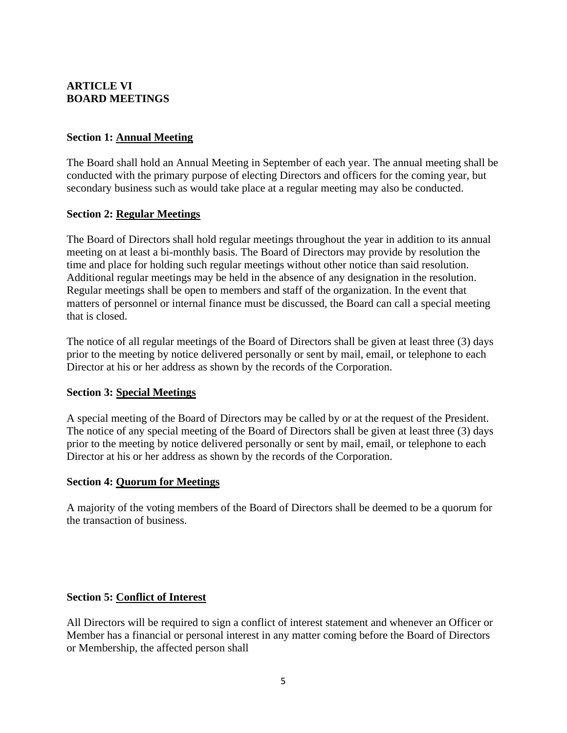# **ARTICLE VI BOARD MEETINGS**

## **Section 1: Annual Meeting**

The Board shall hold an Annual Meeting in September of each year. The annual meeting shall be conducted with the primary purpose of electing Directors and officers for the coming year, but secondary business such as would take place at a regular meeting may also be conducted.

## **Section 2: Regular Meetings**

The Board of Directors shall hold regular meetings throughout the year in addition to its annual meeting on at least a bi-monthly basis. The Board of Directors may provide by resolution the time and place for holding such regular meetings without other notice than said resolution. Additional regular meetings may be held in the absence of any designation in the resolution. Regular meetings shall be open to members and staff of the organization. In the event that matters of personnel or internal finance must be discussed, the Board can call a special meeting that is closed.

The notice of all regular meetings of the Board of Directors shall be given at least three (3) days prior to the meeting by notice delivered personally or sent by mail, email, or telephone to each Director at his or her address as shown by the records of the Corporation.

#### **Section 3: Special Meetings**

A special meeting of the Board of Directors may be called by or at the request of the President. The notice of any special meeting of the Board of Directors shall be given at least three (3) days prior to the meeting by notice delivered personally or sent by mail, email, or telephone to each Director at his or her address as shown by the records of the Corporation.

#### **Section 4: Quorum for Meetings**

A majority of the voting members of the Board of Directors shall be deemed to be a quorum for the transaction of business.

## **Section 5: Conflict of Interest**

All Directors will be required to sign a conflict of interest statement and whenever an Officer or Member has a financial or personal interest in any matter coming before the Board of Directors or Membership, the affected person shall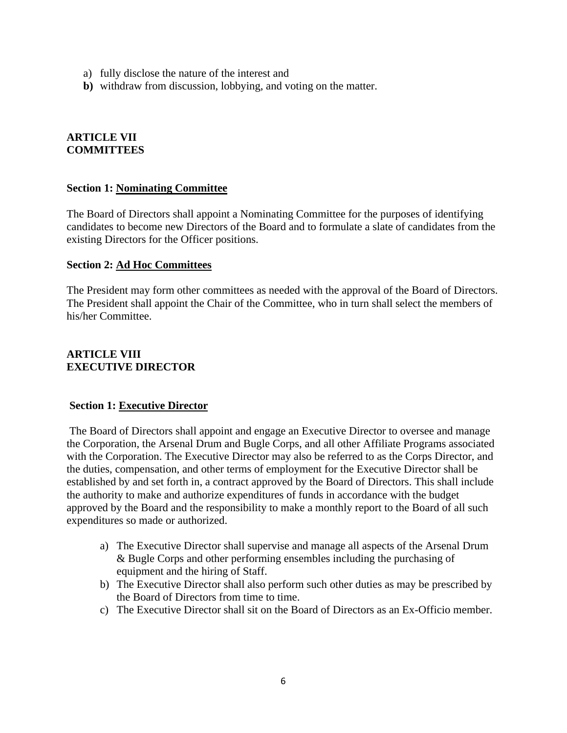- a) fully disclose the nature of the interest and
- **b)** withdraw from discussion, lobbying, and voting on the matter.

#### **ARTICLE VII COMMITTEES**

#### **Section 1: Nominating Committee**

The Board of Directors shall appoint a Nominating Committee for the purposes of identifying candidates to become new Directors of the Board and to formulate a slate of candidates from the existing Directors for the Officer positions.

#### **Section 2: Ad Hoc Committees**

The President may form other committees as needed with the approval of the Board of Directors. The President shall appoint the Chair of the Committee, who in turn shall select the members of his/her Committee.

## **ARTICLE VIII EXECUTIVE DIRECTOR**

#### **Section 1: Executive Director**

The Board of Directors shall appoint and engage an Executive Director to oversee and manage the Corporation, the Arsenal Drum and Bugle Corps, and all other Affiliate Programs associated with the Corporation. The Executive Director may also be referred to as the Corps Director, and the duties, compensation, and other terms of employment for the Executive Director shall be established by and set forth in, a contract approved by the Board of Directors. This shall include the authority to make and authorize expenditures of funds in accordance with the budget approved by the Board and the responsibility to make a monthly report to the Board of all such expenditures so made or authorized.

- a) The Executive Director shall supervise and manage all aspects of the Arsenal Drum & Bugle Corps and other performing ensembles including the purchasing of equipment and the hiring of Staff.
- b) The Executive Director shall also perform such other duties as may be prescribed by the Board of Directors from time to time.
- c) The Executive Director shall sit on the Board of Directors as an Ex-Officio member.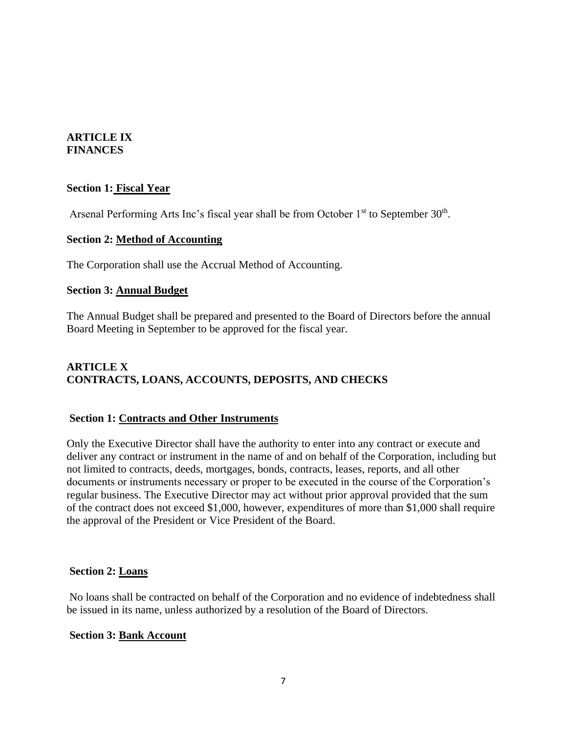#### **ARTICLE IX FINANCES**

### **Section 1: Fiscal Year**

Arsenal Performing Arts Inc's fiscal year shall be from October 1<sup>st</sup> to September 30<sup>th</sup>.

#### **Section 2: Method of Accounting**

The Corporation shall use the Accrual Method of Accounting.

#### **Section 3: Annual Budget**

The Annual Budget shall be prepared and presented to the Board of Directors before the annual Board Meeting in September to be approved for the fiscal year.

# **ARTICLE X CONTRACTS, LOANS, ACCOUNTS, DEPOSITS, AND CHECKS**

## **Section 1: Contracts and Other Instruments**

Only the Executive Director shall have the authority to enter into any contract or execute and deliver any contract or instrument in the name of and on behalf of the Corporation, including but not limited to contracts, deeds, mortgages, bonds, contracts, leases, reports, and all other documents or instruments necessary or proper to be executed in the course of the Corporation's regular business. The Executive Director may act without prior approval provided that the sum of the contract does not exceed \$1,000, however, expenditures of more than \$1,000 shall require the approval of the President or Vice President of the Board.

#### **Section 2: Loans**

No loans shall be contracted on behalf of the Corporation and no evidence of indebtedness shall be issued in its name, unless authorized by a resolution of the Board of Directors.

#### **Section 3: Bank Account**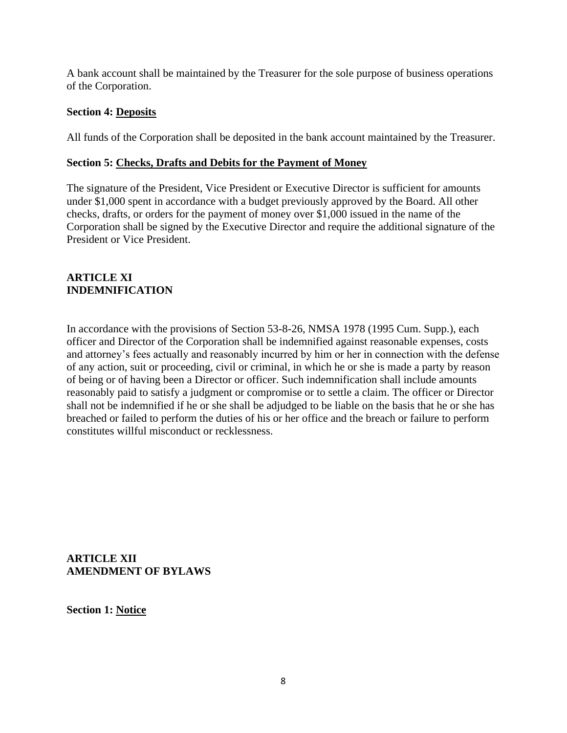A bank account shall be maintained by the Treasurer for the sole purpose of business operations of the Corporation.

### **Section 4: Deposits**

All funds of the Corporation shall be deposited in the bank account maintained by the Treasurer.

### **Section 5: Checks, Drafts and Debits for the Payment of Money**

The signature of the President, Vice President or Executive Director is sufficient for amounts under \$1,000 spent in accordance with a budget previously approved by the Board. All other checks, drafts, or orders for the payment of money over \$1,000 issued in the name of the Corporation shall be signed by the Executive Director and require the additional signature of the President or Vice President.

## **ARTICLE XI INDEMNIFICATION**

In accordance with the provisions of Section 53-8-26, NMSA 1978 (1995 Cum. Supp.), each officer and Director of the Corporation shall be indemnified against reasonable expenses, costs and attorney's fees actually and reasonably incurred by him or her in connection with the defense of any action, suit or proceeding, civil or criminal, in which he or she is made a party by reason of being or of having been a Director or officer. Such indemnification shall include amounts reasonably paid to satisfy a judgment or compromise or to settle a claim. The officer or Director shall not be indemnified if he or she shall be adjudged to be liable on the basis that he or she has breached or failed to perform the duties of his or her office and the breach or failure to perform constitutes willful misconduct or recklessness.

**ARTICLE XII AMENDMENT OF BYLAWS**

**Section 1: Notice**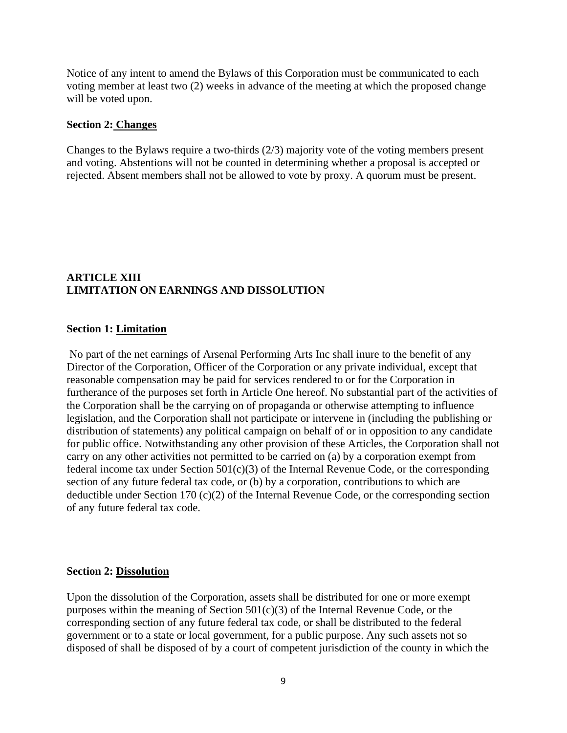Notice of any intent to amend the Bylaws of this Corporation must be communicated to each voting member at least two (2) weeks in advance of the meeting at which the proposed change will be voted upon.

#### **Section 2: Changes**

Changes to the Bylaws require a two-thirds (2/3) majority vote of the voting members present and voting. Abstentions will not be counted in determining whether a proposal is accepted or rejected. Absent members shall not be allowed to vote by proxy. A quorum must be present.

### **ARTICLE XIII LIMITATION ON EARNINGS AND DISSOLUTION**

#### **Section 1: Limitation**

No part of the net earnings of Arsenal Performing Arts Inc shall inure to the benefit of any Director of the Corporation, Officer of the Corporation or any private individual, except that reasonable compensation may be paid for services rendered to or for the Corporation in furtherance of the purposes set forth in Article One hereof. No substantial part of the activities of the Corporation shall be the carrying on of propaganda or otherwise attempting to influence legislation, and the Corporation shall not participate or intervene in (including the publishing or distribution of statements) any political campaign on behalf of or in opposition to any candidate for public office. Notwithstanding any other provision of these Articles, the Corporation shall not carry on any other activities not permitted to be carried on (a) by a corporation exempt from federal income tax under Section 501(c)(3) of the Internal Revenue Code, or the corresponding section of any future federal tax code, or (b) by a corporation, contributions to which are deductible under Section 170 (c)(2) of the Internal Revenue Code, or the corresponding section of any future federal tax code.

#### **Section 2: Dissolution**

Upon the dissolution of the Corporation, assets shall be distributed for one or more exempt purposes within the meaning of Section  $501(c)(3)$  of the Internal Revenue Code, or the corresponding section of any future federal tax code, or shall be distributed to the federal government or to a state or local government, for a public purpose. Any such assets not so disposed of shall be disposed of by a court of competent jurisdiction of the county in which the